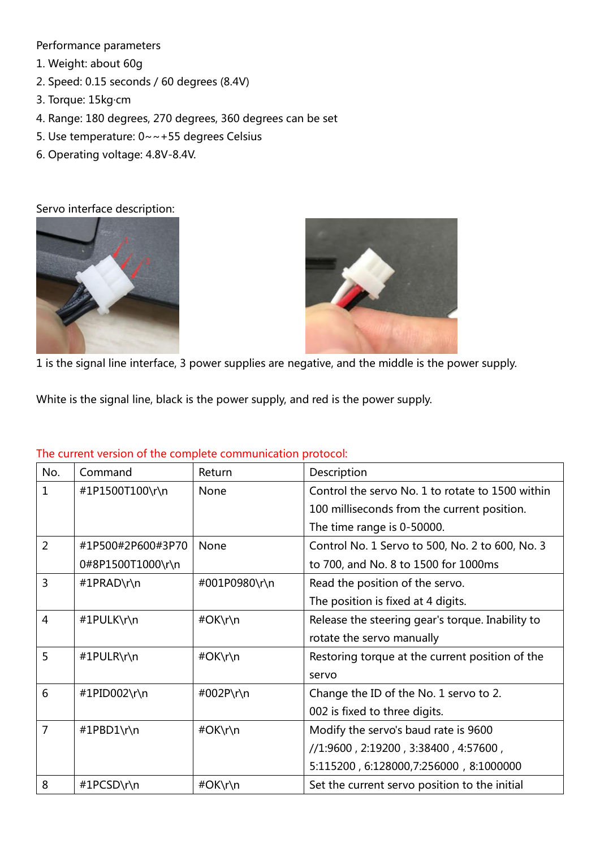Performance parameters

- 1. Weight: about 60g
- 2. Speed: 0.15 seconds / 60 degrees (8.4V)
- 3. Torque: 15kg·cm
- 4. Range: 180 degrees, 270 degrees, 360 degrees can be set
- 5. Use temperature: 0~~+55 degrees Celsius
- 6. Operating voltage: 4.8V-8.4V.

Servo interface description:





1 is the signal line interface, 3 power supplies are negative, and the middle is the power supply.

White is the signal line, black is the power supply, and red is the power supply.

| No.            | Command           | Return        | Description                                      |
|----------------|-------------------|---------------|--------------------------------------------------|
| 1              | #1P1500T100\r\n   | <b>None</b>   | Control the servo No. 1 to rotate to 1500 within |
|                |                   |               | 100 milliseconds from the current position.      |
|                |                   |               | The time range is 0-50000.                       |
| $\overline{2}$ | #1P500#2P600#3P70 | None          | Control No. 1 Servo to 500, No. 2 to 600, No. 3  |
|                | 0#8P1500T1000\r\n |               | to 700, and No. 8 to 1500 for 1000ms             |
| 3              | #1PRAD\r\n        | #001P0980\r\n | Read the position of the servo.                  |
|                |                   |               | The position is fixed at 4 digits.               |
| $\overline{4}$ | #1PULK\r\n        | #OK\r\n       | Release the steering gear's torque. Inability to |
|                |                   |               | rotate the servo manually                        |
| 5              | #1PULR\r\n        | #OK\r\n       | Restoring torque at the current position of the  |
|                |                   |               | servo                                            |
| 6              | #1PID002\r\n      | #002P\r\n     | Change the ID of the No. 1 servo to 2.           |
|                |                   |               | 002 is fixed to three digits.                    |
| 7              | #1PBD1\r\n        | #OK\r\n       | Modify the servo's baud rate is 9600             |
|                |                   |               | //1:9600, 2:19200, 3:38400, 4:57600,             |
|                |                   |               | 5:115200, 6:128000, 7:256000, 8:1000000          |
| 8              | #1PCSD\r\n        | #OK\r\n       | Set the current servo position to the initial    |

## The current version of the complete communication protocol: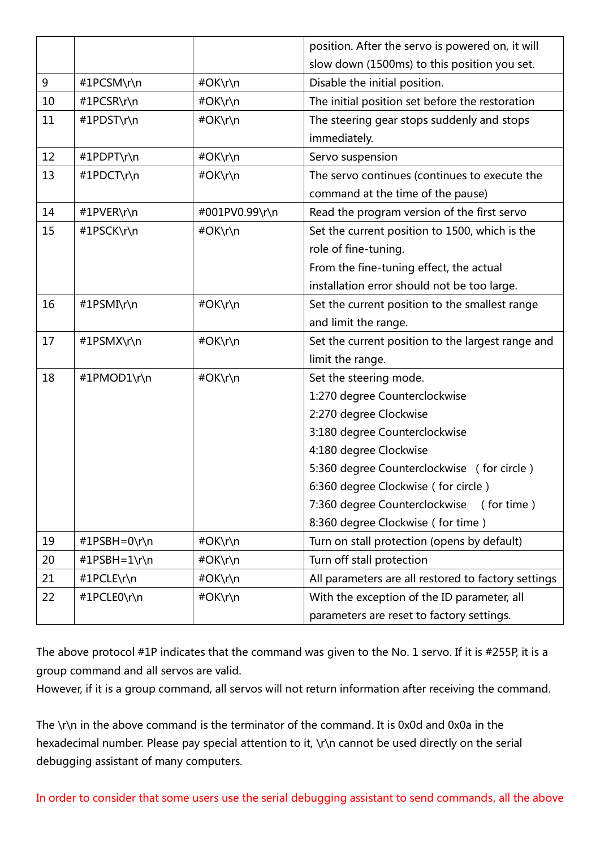|    |              |                | position. After the servo is powered on, it will    |
|----|--------------|----------------|-----------------------------------------------------|
|    |              |                | slow down (1500ms) to this position you set.        |
| 9  | #1PCSM\r\n   | #OK\r\n        | Disable the initial position.                       |
| 10 | #1PCSR\r\n   | #OK\r\n        | The initial position set before the restoration     |
| 11 | #1PDST\r\n   | #OK\r\n        | The steering gear stops suddenly and stops          |
|    |              |                | immediately.                                        |
| 12 | #1PDPT\r\n   | #OK\r\n        | Servo suspension                                    |
| 13 | #1PDCT\r\n   | #OK\r\n        | The servo continues (continues to execute the       |
|    |              |                | command at the time of the pause)                   |
| 14 | #1PVER\r\n   | #001PV0.99\r\n | Read the program version of the first servo         |
| 15 | #1PSCK\r\n   | #OK\r\n        | Set the current position to 1500, which is the      |
|    |              |                | role of fine-tuning.                                |
|    |              |                | From the fine-tuning effect, the actual             |
|    |              |                | installation error should not be too large.         |
| 16 | #1PSMI\r\n   | #OK\r\n        | Set the current position to the smallest range      |
|    |              |                | and limit the range.                                |
| 17 | #1PSMX\r\n   | #OK\r\n        | Set the current position to the largest range and   |
|    |              |                | limit the range.                                    |
| 18 | #1PMOD1\r\n  | #OK\r\n        | Set the steering mode.                              |
|    |              |                | 1:270 degree Counterclockwise                       |
|    |              |                | 2:270 degree Clockwise                              |
|    |              |                | 3:180 degree Counterclockwise                       |
|    |              |                | 4:180 degree Clockwise                              |
|    |              |                | 5:360 degree Counterclockwise (for circle)          |
|    |              |                | 6:360 degree Clockwise (for circle)                 |
|    |              |                | 7:360 degree Counterclockwise<br>(for time)         |
|    |              |                | 8:360 degree Clockwise (for time)                   |
| 19 | #1PSBH=0\r\n | #OK\r\n        | Turn on stall protection (opens by default)         |
| 20 | #1PSBH=1\r\n | #OK\r\n        | Turn off stall protection                           |
| 21 | #1PCLE\r\n   | #OK\r\n        | All parameters are all restored to factory settings |
| 22 | #1PCLE0\r\n  | #OK\r\n        | With the exception of the ID parameter, all         |
|    |              |                | parameters are reset to factory settings.           |

The above protocol #1P indicates that the command was given to the No. 1 servo. If it is #255P, it is a group command and all servos are valid.

However, if it is a group command, all servos will not return information after receiving the command.

The \r\n in the above command is the terminator of the command. It is 0x0d and 0x0a in the hexadecimal number. Please pay special attention to it, \r\n cannot be used directly on the serial debugging assistant of many computers.